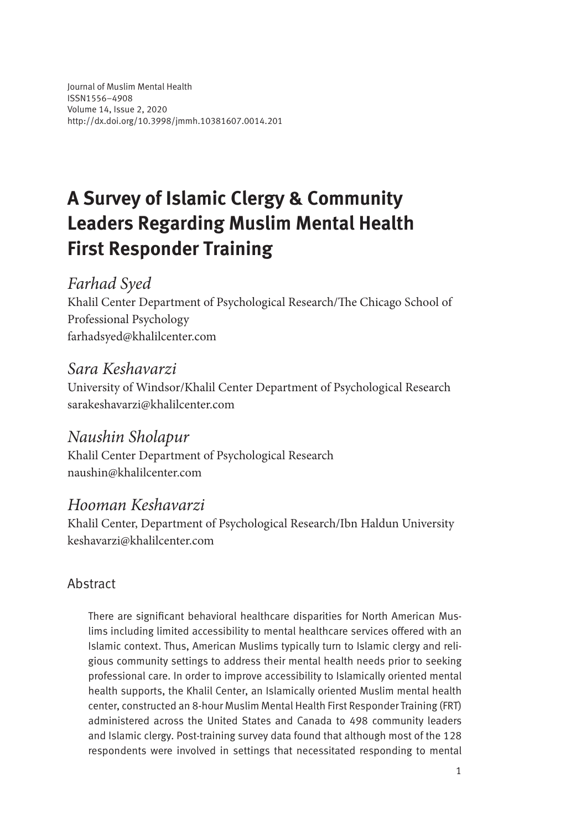Journal of Muslim Mental Health ISSN1556–4908 Volume 14, Issue 2, 2020 <http://dx.doi.org/10.3998/jmmh.10381607.0014.201>

# **A Survey of Islamic Clergy & Community Leaders Regarding Muslim Mental Health First Responder Training**

### *Farhad Syed*

Khalil Center Department of Psychological Research/The Chicago School of Professional Psychology [farhadsyed@khalilcenter.com](mailto:farhadsyed@khalilcenter.com)

# *Sara Keshavarzi*

University of Windsor/Khalil Center Department of Psychological Research [sarakeshavarzi@khalilcenter.com](mailto:sarakeshavarzi@khalilcenter.com)

# *Naushin Sholapur*

Khalil Center Department of Psychological Research [naushin@khalilcenter.com](mailto:naushin@khalilcenter.com)

### *Hooman Keshavarzi*

Khalil Center, Department of Psychological Research/Ibn Haldun University [keshavarzi@khalilcenter.com](mailto:keshavarzi@khalilcenter.com)

### Abstract

There are significant behavioral healthcare disparities for North American Muslims including limited accessibility to mental healthcare services offered with an Islamic context. Thus, American Muslims typically turn to Islamic clergy and religious community settings to address their mental health needs prior to seeking professional care. In order to improve accessibility to Islamically oriented mental health supports, the Khalil Center, an Islamically oriented Muslim mental health center, constructed an 8-hour Muslim Mental Health First Responder Training (FRT) administered across the United States and Canada to 498 community leaders and Islamic clergy. Post-training survey data found that although most of the 128 respondents were involved in settings that necessitated responding to mental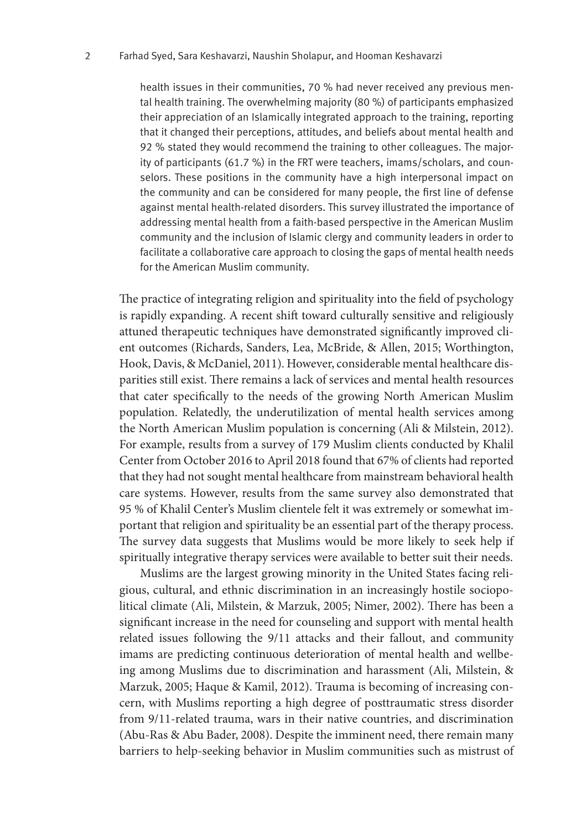health issues in their communities, 70 % had never received any previous mental health training. The overwhelming majority (80 %) of participants emphasized their appreciation of an Islamically integrated approach to the training, reporting that it changed their perceptions, attitudes, and beliefs about mental health and 92 % stated they would recommend the training to other colleagues. The majority of participants (61.7 %) in the FRT were teachers, imams/scholars, and counselors. These positions in the community have a high interpersonal impact on the community and can be considered for many people, the first line of defense against mental health-related disorders. This survey illustrated the importance of addressing mental health from a faith-based perspective in the American Muslim community and the inclusion of Islamic clergy and community leaders in order to facilitate a collaborative care approach to closing the gaps of mental health needs for the American Muslim community.

The practice of integrating religion and spirituality into the field of psychology is rapidly expanding. A recent shift toward culturally sensitive and religiously attuned therapeutic techniques have demonstrated significantly improved client outcomes (Richards, Sanders, Lea, McBride, & Allen, 2015; Worthington, Hook, Davis, & McDaniel, 2011). However, considerable mental healthcare disparities still exist. There remains a lack of services and mental health resources that cater specifically to the needs of the growing North American Muslim population. Relatedly, the underutilization of mental health services among the North American Muslim population is concerning (Ali & Milstein, 2012). For example, results from a survey of 179 Muslim clients conducted by Khalil Center from October 2016 to April 2018 found that 67% of clients had reported that they had not sought mental healthcare from mainstream behavioral health care systems. However, results from the same survey also demonstrated that 95 % of Khalil Center's Muslim clientele felt it was extremely or somewhat important that religion and spirituality be an essential part of the therapy process. The survey data suggests that Muslims would be more likely to seek help if spiritually integrative therapy services were available to better suit their needs.

Muslims are the largest growing minority in the United States facing religious, cultural, and ethnic discrimination in an increasingly hostile sociopolitical climate (Ali, Milstein, & Marzuk, 2005; Nimer, 2002). There has been a significant increase in the need for counseling and support with mental health related issues following the 9/11 attacks and their fallout, and community imams are predicting continuous deterioration of mental health and wellbeing among Muslims due to discrimination and harassment (Ali, Milstein, & Marzuk, 2005; Haque & Kamil, 2012). Trauma is becoming of increasing concern, with Muslims reporting a high degree of posttraumatic stress disorder from 9/11-related trauma, wars in their native countries, and discrimination (Abu-Ras & Abu Bader, 2008). Despite the imminent need, there remain many barriers to help-seeking behavior in Muslim communities such as mistrust of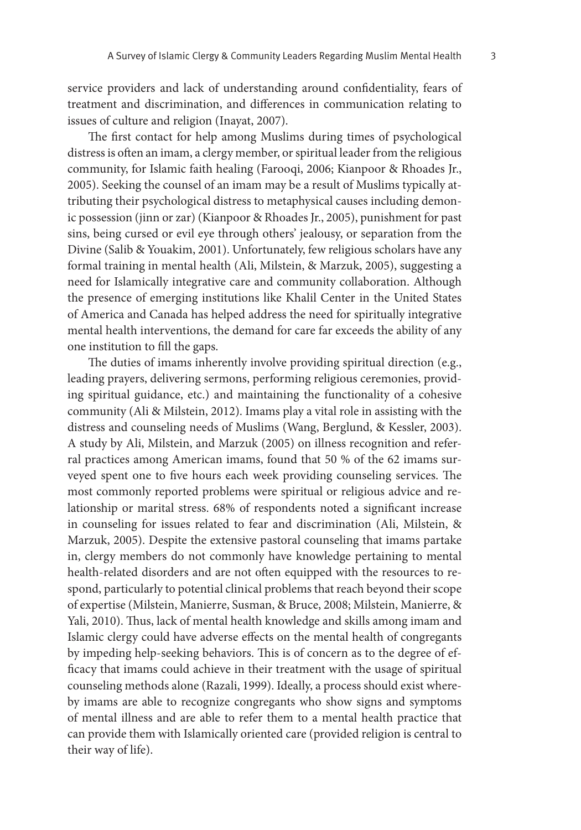service providers and lack of understanding around confidentiality, fears of treatment and discrimination, and differences in communication relating to issues of culture and religion (Inayat, 2007).

The first contact for help among Muslims during times of psychological distress is often an imam, a clergy member, or spiritual leader from the religious community, for Islamic faith healing (Farooqi, 2006; Kianpoor & Rhoades Jr., 2005). Seeking the counsel of an imam may be a result of Muslims typically attributing their psychological distress to metaphysical causes including demonic possession (jinn or zar) (Kianpoor & Rhoades Jr., 2005), punishment for past sins, being cursed or evil eye through others' jealousy, or separation from the Divine (Salib & Youakim, 2001). Unfortunately, few religious scholars have any formal training in mental health (Ali, Milstein, & Marzuk, 2005), suggesting a need for Islamically integrative care and community collaboration. Although the presence of emerging institutions like Khalil Center in the United States of America and Canada has helped address the need for spiritually integrative mental health interventions, the demand for care far exceeds the ability of any one institution to fill the gaps.

The duties of imams inherently involve providing spiritual direction (e.g., leading prayers, delivering sermons, performing religious ceremonies, providing spiritual guidance, etc.) and maintaining the functionality of a cohesive community (Ali & Milstein, 2012). Imams play a vital role in assisting with the distress and counseling needs of Muslims (Wang, Berglund, & Kessler, 2003). A study by Ali, Milstein, and Marzuk (2005) on illness recognition and referral practices among American imams, found that 50 % of the 62 imams surveyed spent one to five hours each week providing counseling services. The most commonly reported problems were spiritual or religious advice and relationship or marital stress. 68% of respondents noted a significant increase in counseling for issues related to fear and discrimination (Ali, Milstein, & Marzuk, 2005). Despite the extensive pastoral counseling that imams partake in, clergy members do not commonly have knowledge pertaining to mental health-related disorders and are not often equipped with the resources to respond, particularly to potential clinical problems that reach beyond their scope of expertise (Milstein, Manierre, Susman, & Bruce, 2008; Milstein, Manierre, & Yali, 2010). Thus, lack of mental health knowledge and skills among imam and Islamic clergy could have adverse effects on the mental health of congregants by impeding help-seeking behaviors. This is of concern as to the degree of efficacy that imams could achieve in their treatment with the usage of spiritual counseling methods alone (Razali, 1999). Ideally, a process should exist whereby imams are able to recognize congregants who show signs and symptoms of mental illness and are able to refer them to a mental health practice that can provide them with Islamically oriented care (provided religion is central to their way of life).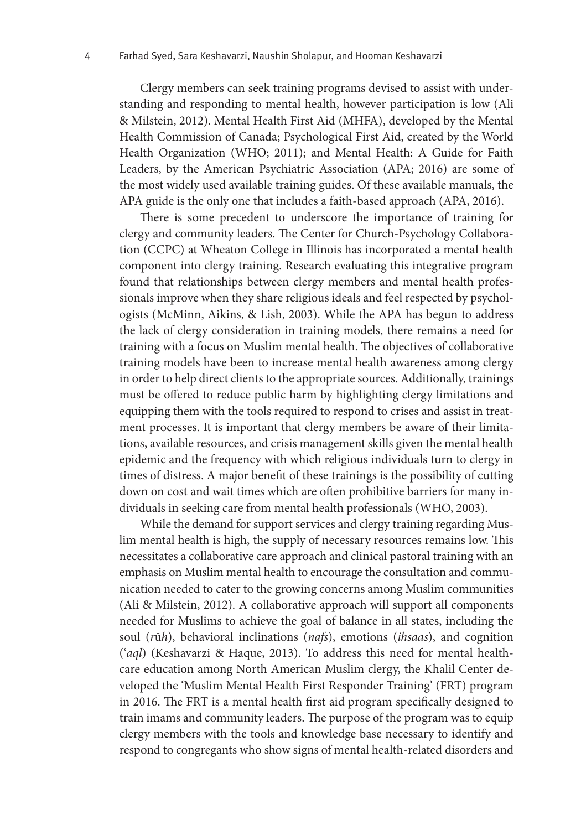Clergy members can seek training programs devised to assist with understanding and responding to mental health, however participation is low (Ali & Milstein, 2012). Mental Health First Aid (MHFA), developed by the Mental Health Commission of Canada; Psychological First Aid, created by the World Health Organization (WHO; 2011); and Mental Health: A Guide for Faith Leaders, by the American Psychiatric Association (APA; 2016) are some of the most widely used available training guides. Of these available manuals, the APA guide is the only one that includes a faith-based approach (APA, 2016).

There is some precedent to underscore the importance of training for clergy and community leaders. The Center for Church-Psychology Collaboration (CCPC) at Wheaton College in Illinois has incorporated a mental health component into clergy training. Research evaluating this integrative program found that relationships between clergy members and mental health professionals improve when they share religious ideals and feel respected by psychologists (McMinn, Aikins, & Lish, 2003). While the APA has begun to address the lack of clergy consideration in training models, there remains a need for training with a focus on Muslim mental health. The objectives of collaborative training models have been to increase mental health awareness among clergy in order to help direct clients to the appropriate sources. Additionally, trainings must be offered to reduce public harm by highlighting clergy limitations and equipping them with the tools required to respond to crises and assist in treatment processes. It is important that clergy members be aware of their limitations, available resources, and crisis management skills given the mental health epidemic and the frequency with which religious individuals turn to clergy in times of distress. A major benefit of these trainings is the possibility of cutting down on cost and wait times which are often prohibitive barriers for many individuals in seeking care from mental health professionals (WHO, 2003).

While the demand for support services and clergy training regarding Muslim mental health is high, the supply of necessary resources remains low. This necessitates a collaborative care approach and clinical pastoral training with an emphasis on Muslim mental health to encourage the consultation and communication needed to cater to the growing concerns among Muslim communities (Ali & Milstein, 2012). A collaborative approach will support all components needed for Muslims to achieve the goal of balance in all states, including the soul (*r*ū*h*), behavioral inclinations (*nafs*), emotions (*ihsaas*), and cognition ('*aql*) (Keshavarzi & Haque, 2013). To address this need for mental healthcare education among North American Muslim clergy, the Khalil Center developed the 'Muslim Mental Health First Responder Training' (FRT) program in 2016. The FRT is a mental health first aid program specifically designed to train imams and community leaders. The purpose of the program was to equip clergy members with the tools and knowledge base necessary to identify and respond to congregants who show signs of mental health-related disorders and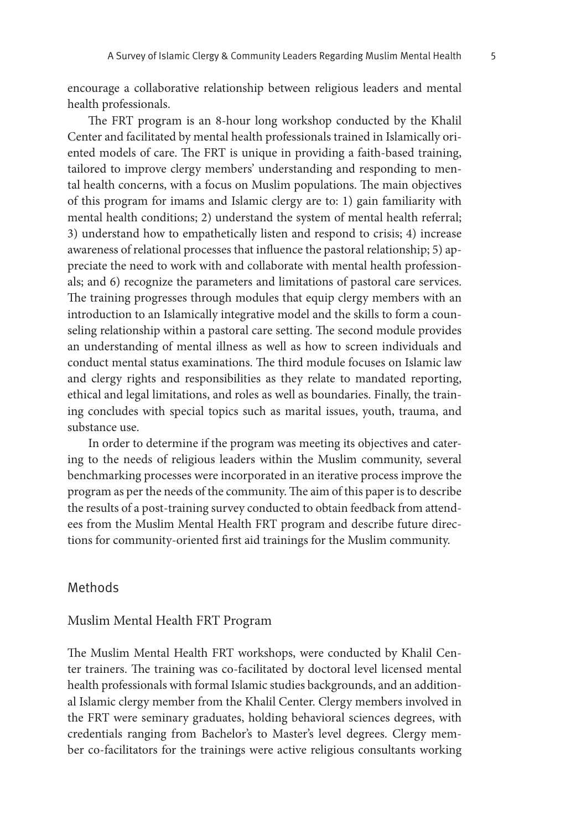encourage a collaborative relationship between religious leaders and mental health professionals.

The FRT program is an 8-hour long workshop conducted by the Khalil Center and facilitated by mental health professionals trained in Islamically oriented models of care. The FRT is unique in providing a faith-based training, tailored to improve clergy members' understanding and responding to mental health concerns, with a focus on Muslim populations. The main objectives of this program for imams and Islamic clergy are to: 1) gain familiarity with mental health conditions; 2) understand the system of mental health referral; 3) understand how to empathetically listen and respond to crisis; 4) increase awareness of relational processes that influence the pastoral relationship; 5) appreciate the need to work with and collaborate with mental health professionals; and 6) recognize the parameters and limitations of pastoral care services. The training progresses through modules that equip clergy members with an introduction to an Islamically integrative model and the skills to form a counseling relationship within a pastoral care setting. The second module provides an understanding of mental illness as well as how to screen individuals and conduct mental status examinations. The third module focuses on Islamic law and clergy rights and responsibilities as they relate to mandated reporting, ethical and legal limitations, and roles as well as boundaries. Finally, the training concludes with special topics such as marital issues, youth, trauma, and substance use.

In order to determine if the program was meeting its objectives and catering to the needs of religious leaders within the Muslim community, several benchmarking processes were incorporated in an iterative process improve the program as per the needs of the community. The aim of this paper is to describe the results of a post-training survey conducted to obtain feedback from attendees from the Muslim Mental Health FRT program and describe future directions for community-oriented first aid trainings for the Muslim community.

#### Methods

#### Muslim Mental Health FRT Program

The Muslim Mental Health FRT workshops, were conducted by Khalil Center trainers. The training was co-facilitated by doctoral level licensed mental health professionals with formal Islamic studies backgrounds, and an additional Islamic clergy member from the Khalil Center. Clergy members involved in the FRT were seminary graduates, holding behavioral sciences degrees, with credentials ranging from Bachelor's to Master's level degrees. Clergy member co-facilitators for the trainings were active religious consultants working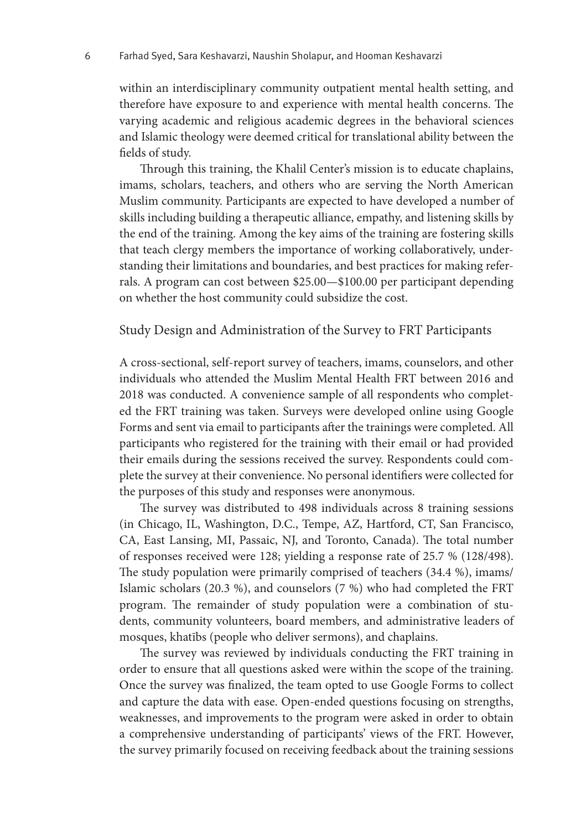within an interdisciplinary community outpatient mental health setting, and therefore have exposure to and experience with mental health concerns. The varying academic and religious academic degrees in the behavioral sciences and Islamic theology were deemed critical for translational ability between the fields of study.

Through this training, the Khalil Center's mission is to educate chaplains, imams, scholars, teachers, and others who are serving the North American Muslim community. Participants are expected to have developed a number of skills including building a therapeutic alliance, empathy, and listening skills by the end of the training. Among the key aims of the training are fostering skills that teach clergy members the importance of working collaboratively, understanding their limitations and boundaries, and best practices for making referrals. A program can cost between \$25.00—\$100.00 per participant depending on whether the host community could subsidize the cost.

#### Study Design and Administration of the Survey to FRT Participants

A cross-sectional, self-report survey of teachers, imams, counselors, and other individuals who attended the Muslim Mental Health FRT between 2016 and 2018 was conducted. A convenience sample of all respondents who completed the FRT training was taken. Surveys were developed online using Google Forms and sent via email to participants after the trainings were completed. All participants who registered for the training with their email or had provided their emails during the sessions received the survey. Respondents could complete the survey at their convenience. No personal identifiers were collected for the purposes of this study and responses were anonymous.

The survey was distributed to 498 individuals across 8 training sessions (in Chicago, IL, Washington, D.C., Tempe, AZ, Hartford, CT, San Francisco, CA, East Lansing, MI, Passaic, NJ, and Toronto, Canada). The total number of responses received were 128; yielding a response rate of 25.7 % (128/498). The study population were primarily comprised of teachers (34.4 %), imams/ Islamic scholars (20.3 %), and counselors (7 %) who had completed the FRT program. The remainder of study population were a combination of students, community volunteers, board members, and administrative leaders of mosques, khatībs (people who deliver sermons), and chaplains.

The survey was reviewed by individuals conducting the FRT training in order to ensure that all questions asked were within the scope of the training. Once the survey was finalized, the team opted to use Google Forms to collect and capture the data with ease. Open-ended questions focusing on strengths, weaknesses, and improvements to the program were asked in order to obtain a comprehensive understanding of participants' views of the FRT. However, the survey primarily focused on receiving feedback about the training sessions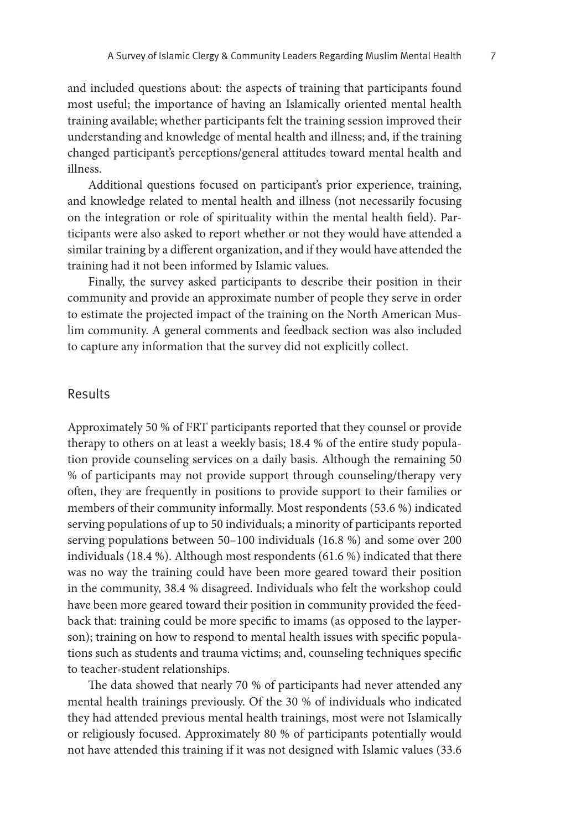and included questions about: the aspects of training that participants found most useful; the importance of having an Islamically oriented mental health training available; whether participants felt the training session improved their understanding and knowledge of mental health and illness; and, if the training changed participant's perceptions/general attitudes toward mental health and illness.

Additional questions focused on participant's prior experience, training, and knowledge related to mental health and illness (not necessarily focusing on the integration or role of spirituality within the mental health field). Participants were also asked to report whether or not they would have attended a similar training by a different organization, and if they would have attended the training had it not been informed by Islamic values.

Finally, the survey asked participants to describe their position in their community and provide an approximate number of people they serve in order to estimate the projected impact of the training on the North American Muslim community. A general comments and feedback section was also included to capture any information that the survey did not explicitly collect.

#### Results

Approximately 50 % of FRT participants reported that they counsel or provide therapy to others on at least a weekly basis; 18.4 % of the entire study population provide counseling services on a daily basis. Although the remaining 50 % of participants may not provide support through counseling/therapy very often, they are frequently in positions to provide support to their families or members of their community informally. Most respondents (53.6 %) indicated serving populations of up to 50 individuals; a minority of participants reported serving populations between 50–100 individuals (16.8 %) and some over 200 individuals (18.4 %). Although most respondents (61.6 %) indicated that there was no way the training could have been more geared toward their position in the community, 38.4 % disagreed. Individuals who felt the workshop could have been more geared toward their position in community provided the feedback that: training could be more specific to imams (as opposed to the layperson); training on how to respond to mental health issues with specific populations such as students and trauma victims; and, counseling techniques specific to teacher-student relationships.

The data showed that nearly 70 % of participants had never attended any mental health trainings previously. Of the 30 % of individuals who indicated they had attended previous mental health trainings, most were not Islamically or religiously focused. Approximately 80 % of participants potentially would not have attended this training if it was not designed with Islamic values (33.6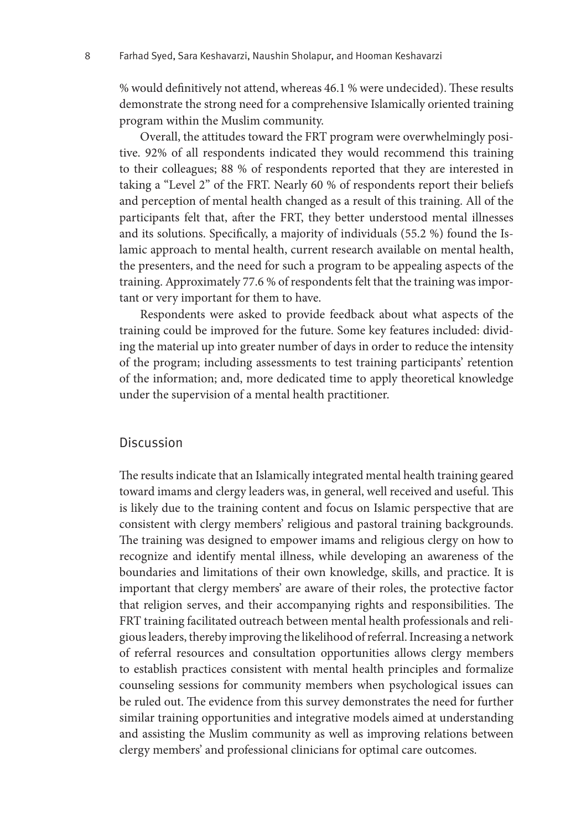% would definitively not attend, whereas 46.1 % were undecided). These results demonstrate the strong need for a comprehensive Islamically oriented training program within the Muslim community.

Overall, the attitudes toward the FRT program were overwhelmingly positive. 92% of all respondents indicated they would recommend this training to their colleagues; 88 % of respondents reported that they are interested in taking a "Level 2" of the FRT. Nearly 60 % of respondents report their beliefs and perception of mental health changed as a result of this training. All of the participants felt that, after the FRT, they better understood mental illnesses and its solutions. Specifically, a majority of individuals (55.2 %) found the Islamic approach to mental health, current research available on mental health, the presenters, and the need for such a program to be appealing aspects of the training. Approximately 77.6 % of respondents felt that the training was important or very important for them to have.

Respondents were asked to provide feedback about what aspects of the training could be improved for the future. Some key features included: dividing the material up into greater number of days in order to reduce the intensity of the program; including assessments to test training participants' retention of the information; and, more dedicated time to apply theoretical knowledge under the supervision of a mental health practitioner.

#### Discussion

The results indicate that an Islamically integrated mental health training geared toward imams and clergy leaders was, in general, well received and useful. This is likely due to the training content and focus on Islamic perspective that are consistent with clergy members' religious and pastoral training backgrounds. The training was designed to empower imams and religious clergy on how to recognize and identify mental illness, while developing an awareness of the boundaries and limitations of their own knowledge, skills, and practice. It is important that clergy members' are aware of their roles, the protective factor that religion serves, and their accompanying rights and responsibilities. The FRT training facilitated outreach between mental health professionals and religious leaders, thereby improving the likelihood of referral. Increasing a network of referral resources and consultation opportunities allows clergy members to establish practices consistent with mental health principles and formalize counseling sessions for community members when psychological issues can be ruled out. The evidence from this survey demonstrates the need for further similar training opportunities and integrative models aimed at understanding and assisting the Muslim community as well as improving relations between clergy members' and professional clinicians for optimal care outcomes.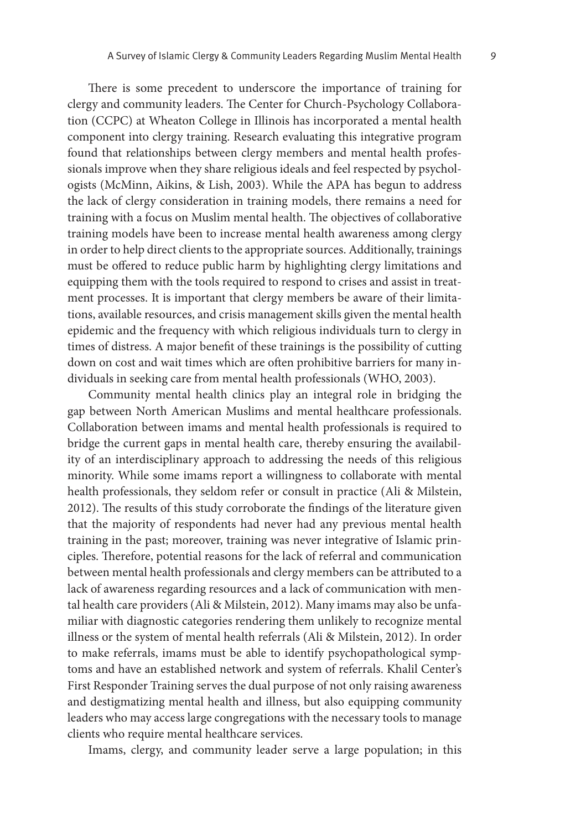There is some precedent to underscore the importance of training for clergy and community leaders. The Center for Church-Psychology Collaboration (CCPC) at Wheaton College in Illinois has incorporated a mental health component into clergy training. Research evaluating this integrative program found that relationships between clergy members and mental health professionals improve when they share religious ideals and feel respected by psychologists (McMinn, Aikins, & Lish, 2003). While the APA has begun to address the lack of clergy consideration in training models, there remains a need for training with a focus on Muslim mental health. The objectives of collaborative training models have been to increase mental health awareness among clergy in order to help direct clients to the appropriate sources. Additionally, trainings must be offered to reduce public harm by highlighting clergy limitations and equipping them with the tools required to respond to crises and assist in treatment processes. It is important that clergy members be aware of their limitations, available resources, and crisis management skills given the mental health epidemic and the frequency with which religious individuals turn to clergy in times of distress. A major benefit of these trainings is the possibility of cutting down on cost and wait times which are often prohibitive barriers for many individuals in seeking care from mental health professionals (WHO, 2003).

Community mental health clinics play an integral role in bridging the gap between North American Muslims and mental healthcare professionals. Collaboration between imams and mental health professionals is required to bridge the current gaps in mental health care, thereby ensuring the availability of an interdisciplinary approach to addressing the needs of this religious minority. While some imams report a willingness to collaborate with mental health professionals, they seldom refer or consult in practice (Ali & Milstein, 2012). The results of this study corroborate the findings of the literature given that the majority of respondents had never had any previous mental health training in the past; moreover, training was never integrative of Islamic principles. Therefore, potential reasons for the lack of referral and communication between mental health professionals and clergy members can be attributed to a lack of awareness regarding resources and a lack of communication with mental health care providers (Ali & Milstein, 2012). Many imams may also be unfamiliar with diagnostic categories rendering them unlikely to recognize mental illness or the system of mental health referrals (Ali & Milstein, 2012). In order to make referrals, imams must be able to identify psychopathological symptoms and have an established network and system of referrals. Khalil Center's First Responder Training serves the dual purpose of not only raising awareness and destigmatizing mental health and illness, but also equipping community leaders who may access large congregations with the necessary tools to manage clients who require mental healthcare services.

Imams, clergy, and community leader serve a large population; in this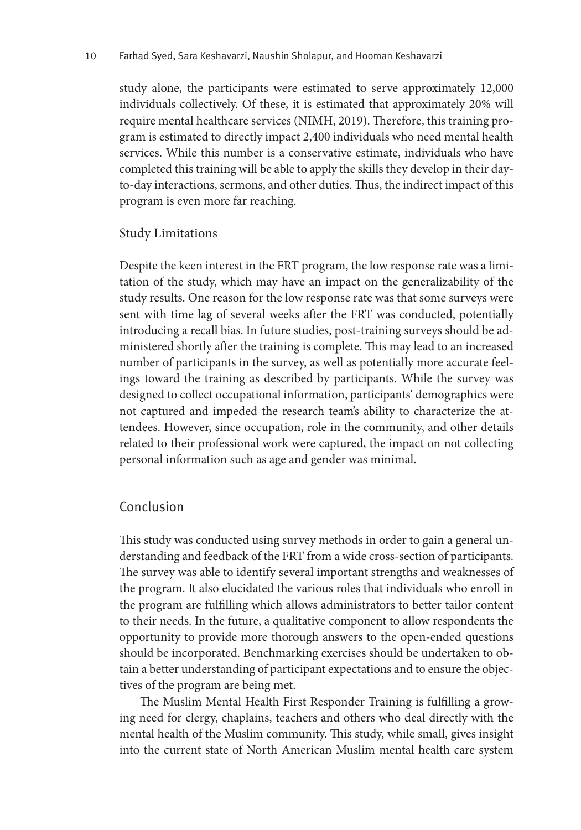#### 10 Farhad Syed, Sara Keshavarzi, Naushin Sholapur, and Hooman Keshavarzi

study alone, the participants were estimated to serve approximately 12,000 individuals collectively. Of these, it is estimated that approximately 20% will require mental healthcare services (NIMH, 2019). Therefore, this training program is estimated to directly impact 2,400 individuals who need mental health services. While this number is a conservative estimate, individuals who have completed this training will be able to apply the skills they develop in their dayto-day interactions, sermons, and other duties. Thus, the indirect impact of this program is even more far reaching.

#### Study Limitations

Despite the keen interest in the FRT program, the low response rate was a limitation of the study, which may have an impact on the generalizability of the study results. One reason for the low response rate was that some surveys were sent with time lag of several weeks after the FRT was conducted, potentially introducing a recall bias. In future studies, post-training surveys should be administered shortly after the training is complete. This may lead to an increased number of participants in the survey, as well as potentially more accurate feelings toward the training as described by participants. While the survey was designed to collect occupational information, participants' demographics were not captured and impeded the research team's ability to characterize the attendees. However, since occupation, role in the community, and other details related to their professional work were captured, the impact on not collecting personal information such as age and gender was minimal.

### Conclusion

This study was conducted using survey methods in order to gain a general understanding and feedback of the FRT from a wide cross-section of participants. The survey was able to identify several important strengths and weaknesses of the program. It also elucidated the various roles that individuals who enroll in the program are fulfilling which allows administrators to better tailor content to their needs. In the future, a qualitative component to allow respondents the opportunity to provide more thorough answers to the open-ended questions should be incorporated. Benchmarking exercises should be undertaken to obtain a better understanding of participant expectations and to ensure the objectives of the program are being met.

The Muslim Mental Health First Responder Training is fulfilling a growing need for clergy, chaplains, teachers and others who deal directly with the mental health of the Muslim community. This study, while small, gives insight into the current state of North American Muslim mental health care system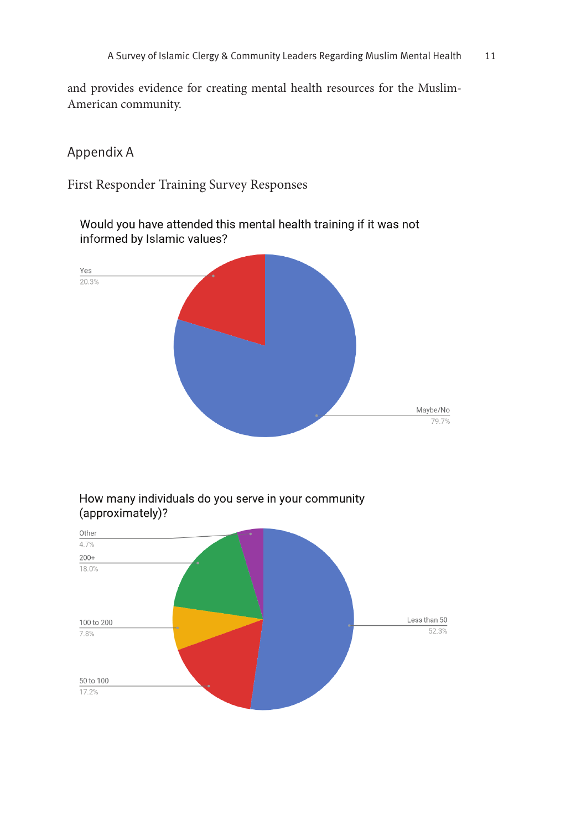and provides evidence for creating mental health resources for the Muslim-American community.

### Appendix A

First Responder Training Survey Responses

Would you have attended this mental health training if it was not informed by Islamic values?





How many individuals do you serve in your community (approximately)?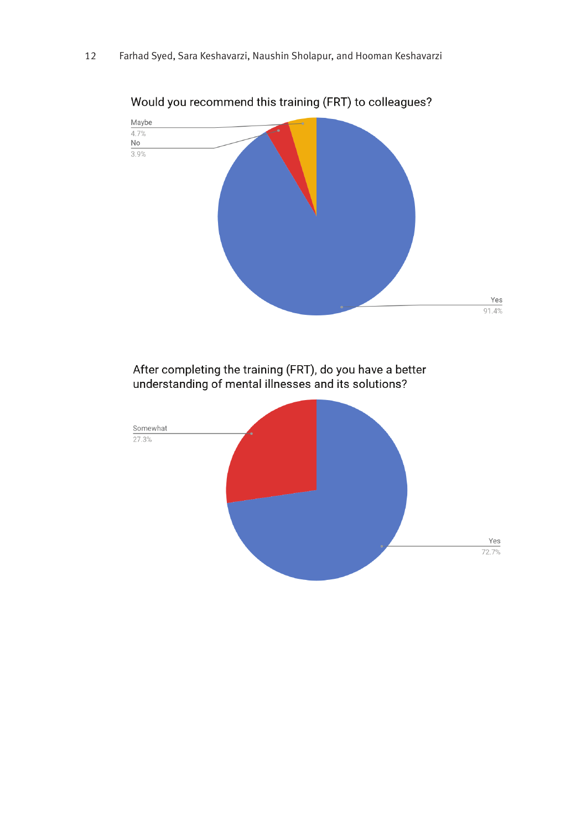

Would you recommend this training (FRT) to colleagues?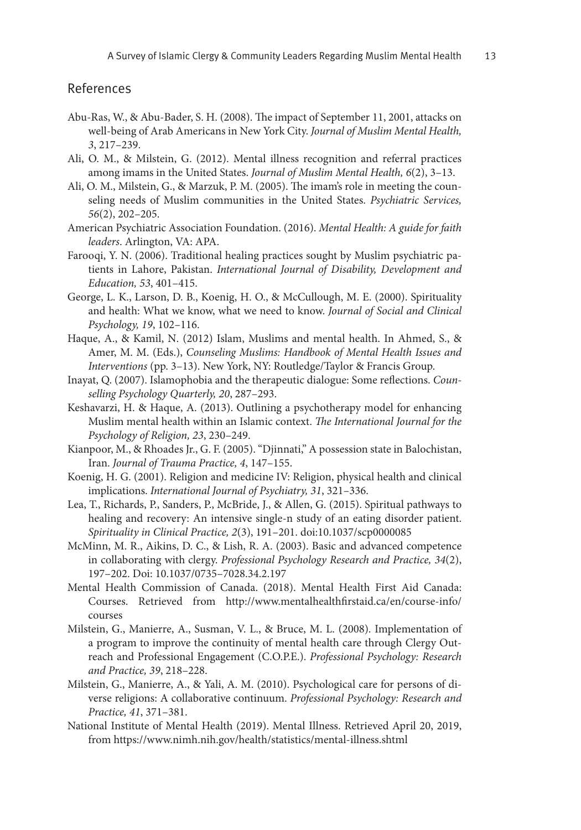#### References

- Abu-Ras, W., & Abu-Bader, S. H. (2008). The impact of September 11, 2001, attacks on well-being of Arab Americans in New York City. *Journal of Muslim Mental Health, 3*, 217–239.
- Ali, O. M., & Milstein, G. (2012). Mental illness recognition and referral practices among imams in the United States. *Journal of Muslim Mental Health, 6*(2), 3–13.
- Ali, O. M., Milstein, G., & Marzuk, P. M. (2005). The imam's role in meeting the counseling needs of Muslim communities in the United States. *Psychiatric Services, 56*(2), 202–205.
- American Psychiatric Association Foundation. (2016). *Mental Health: A guide for faith leaders*. Arlington, VA: APA.
- Farooqi, Y. N. (2006). Traditional healing practices sought by Muslim psychiatric patients in Lahore, Pakistan. *International Journal of Disability, Development and Education, 53*, 401–415.
- George, L. K., Larson, D. B., Koenig, H. O., & McCullough, M. E. (2000). Spirituality and health: What we know, what we need to know. *Journal of Social and Clinical Psychology, 19*, 102–116.
- Haque, A., & Kamil, N. (2012) Islam, Muslims and mental health. In Ahmed, S., & Amer, M. M. (Eds.), *Counseling Muslims: Handbook of Mental Health Issues and Interventions* (pp. 3–13). New York, NY: Routledge/Taylor & Francis Group.
- Inayat, Q. (2007). Islamophobia and the therapeutic dialogue: Some reflections. *Counselling Psychology Quarterly, 20*, 287–293.
- Keshavarzi, H. & Haque, A. (2013). Outlining a psychotherapy model for enhancing Muslim mental health within an Islamic context. *The International Journal for the Psychology of Religion, 23*, 230–249.
- Kianpoor, M., & Rhoades Jr., G. F. (2005). "Djinnati," A possession state in Balochistan, Iran. *Journal of Trauma Practice, 4*, 147–155.
- Koenig, H. G. (2001). Religion and medicine IV: Religion, physical health and clinical implications. *International Journal of Psychiatry, 31*, 321–336.
- Lea, T., Richards, P., Sanders, P., McBride, J., & Allen, G. (2015). Spiritual pathways to healing and recovery: An intensive single-n study of an eating disorder patient. *Spirituality in Clinical Practice, 2*(3), 191–201. doi:10.1037/scp0000085
- McMinn, M. R., Aikins, D. C., & Lish, R. A. (2003). Basic and advanced competence in collaborating with clergy. *Professional Psychology Research and Practice, 34*(2), 197–202. Doi: 10.1037/0735–7028.34.2.197
- Mental Health Commission of Canada. (2018). Mental Health First Aid Canada: Courses. Retrieved from [http://www.mentalhealthfirstaid.ca/en/course-info/](http://www.mentalhealthfirstaid.ca/en/course-info/courses) [courses](http://www.mentalhealthfirstaid.ca/en/course-info/courses)
- Milstein, G., Manierre, A., Susman, V. L., & Bruce, M. L. (2008). Implementation of a program to improve the continuity of mental health care through Clergy Outreach and Professional Engagement (C.O.P.E.). *Professional Psychology: Research and Practice, 39*, 218–228.
- Milstein, G., Manierre, A., & Yali, A. M. (2010). Psychological care for persons of diverse religions: A collaborative continuum. *Professional Psychology: Research and Practice, 41*, 371–381.
- National Institute of Mental Health (2019). Mental Illness. Retrieved April 20, 2019, from <https://www.nimh.nih.gov/health/statistics/mental-illness.shtml>